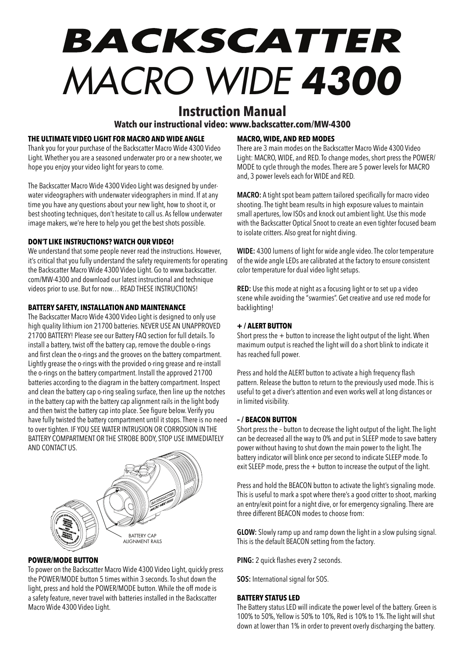# BACKSCATTER *MACRO WIDE 4300*

# **Instruction Manual**

**Watch our instructional video: www.backscatter.com/MW-4300** 

# **THE ULTIMATE VIDEO LIGHT FOR MACRO AND WIDE ANGLE**

Thank you for your purchase of the Backscatter Macro Wide 4300 Video Light. Whether you are a seasoned underwater pro or a new shooter, we hope you enjoy your video light for years to come.

The Backscatter Macro Wide 4300 Video Light was designed by underwater videographers with underwater videographers in mind. If at any time you have any questions about your new light, how to shoot it, or best shooting techniques, don't hesitate to call us. As fellow underwater image makers, we're here to help you get the best shots possible.

# **DON'T LIKE INSTRUCTIONS? WATCH OUR VIDEO!**

We understand that some people never read the instructions. However, it's critical that you fully understand the safety requirements for operating the Backscatter Macro Wide 4300 Video Light. Go to www.backscatter. com/MW-4300 and download our latest instructional and technique videos prior to use. But for now… READ THESE INSTRUCTIONS!

# **BATTERY SAFETY, INSTALLATION AND MAINTENANCE**

The Backscatter Macro Wide 4300 Video Light is designed to only use high quality lithium ion 21700 batteries. NEVER USE AN UNAPPROVED 21700 BATTERY! Please see our Battery FAQ section for full details. To install a battery, twist off the battery cap, remove the double o-rings and first clean the o-rings and the grooves on the battery compartment. Lightly grease the o-rings with the provided o-ring grease and re-install the o-rings on the battery compartment. Install the approved 21700 batteries according to the diagram in the battery compartment. Inspect and clean the battery cap o-ring sealing surface, then line up the notches in the battery cap with the battery cap alignment rails in the light body and then twist the battery cap into place. See figure below. Verify you have fully twisted the battery compartment until it stops. There is no need to over tighten. IF YOU SEE WATER INTRUSION OR CORROSION IN THE BATTERY COMPARTMENT OR THE STROBE BODY, STOP USE IMMEDIATELY AND CONTACT US.



# **POWER/MODE BUTTON**

To power on the Backscatter Macro Wide 4300 Video Light, quickly press the POWER/MODE button 5 times within 3 seconds. To shut down the light, press and hold the POWER/MODE button. While the off mode is a safety feature, never travel with batteries installed in the Backscatter Macro Wide 4300 Video Light.

# **MACRO, WIDE, AND RED MODES**

There are 3 main modes on the Backscatter Macro Wide 4300 Video Light: MACRO, WIDE, and RED. To change modes, short press the POWER/ MODE to cycle through the modes. There are 5 power levels for MACRO and, 3 power levels each for WIDE and RED.

**MACRO:** A tight spot beam pattern tailored specifically for macro video shooting. The tight beam results in high exposure values to maintain small apertures, low ISOs and knock out ambient light. Use this mode with the Backscatter Optical Snoot to create an even tighter focused beam to isolate critters. Also great for night diving.

**WIDE:** 4300 lumens of light for wide angle video. The color temperature of the wide angle LEDs are calibrated at the factory to ensure consistent color temperature for dual video light setups.

**RED:** Use this mode at night as a focusing light or to set up a video scene while avoiding the "swarmies". Get creative and use red mode for backlighting!

# **+ / ALERT BUTTON**

Short press the  $+$  button to increase the light output of the light. When maximum output is reached the light will do a short blink to indicate it has reached full power.

Press and hold the ALERT button to activate a high frequency flash pattern. Release the button to return to the previously used mode. This is useful to get a diver's attention and even works well at long distances or in limited visibility.

# **– / BEACON BUTTON**

Short press the – button to decrease the light output of the light. The light can be decreased all the way to 0% and put in SLEEP mode to save battery power without having to shut down the main power to the light. The battery indicator will blink once per second to indicate SLEEP mode. To exit SLEEP mode, press the  $+$  button to increase the output of the light.

Press and hold the BEACON button to activate the light's signaling mode. This is useful to mark a spot where there's a good critter to shoot, marking an entry/exit point for a night dive, or for emergency signaling. There are three different BEACON modes to choose from:

**GLOW:** Slowly ramp up and ramp down the light in a slow pulsing signal. This is the default BEACON setting from the factory.

**PING:** 2 quick flashes every 2 seconds.

**SOS:** International signal for SOS.

# **BATTERY STATUS LED**

The Battery status LED will indicate the power level of the battery. Green is 100% to 50%, Yellow is 50% to 10%, Red is 10% to 1%. The light will shut down at lower than 1% in order to prevent overly discharging the battery.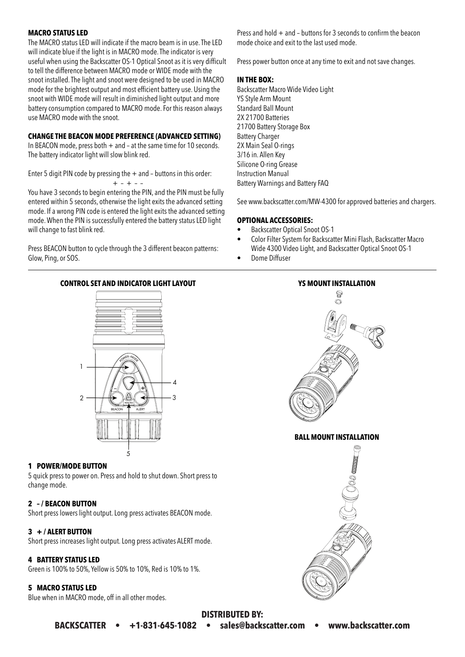# **MACRO STATUS LED**

The MACRO status LED will indicate if the macro beam is in use. The LED will indicate blue if the light is in MACRO mode. The indicator is very useful when using the Backscatter OS-1 Optical Snoot as it is very difficult to tell the difference between MACRO mode or WIDE mode with the snoot installed. The light and snoot were designed to be used in MACRO mode for the brightest output and most efficient battery use. Using the snoot with WIDE mode will result in diminished light output and more battery consumption compared to MACRO mode. For this reason always use MACRO mode with the snoot.

#### **CHANGE THE BEACON MODE PREFERENCE (ADVANCED SETTING)**

In BEACON mode, press both  $+$  and  $-$  at the same time for 10 seconds. The battery indicator light will slow blink red.

Enter 5 digit PIN code by pressing the  $+$  and  $-$  buttons in this order:

+ – + – –

You have 3 seconds to begin entering the PIN, and the PIN must be fully entered within 5 seconds, otherwise the light exits the advanced setting mode. If a wrong PIN code is entered the light exits the advanced setting mode. When the PIN is successfully entered the battery status LED light will change to fast blink red.

Press BEACON button to cycle through the 3 different beacon patterns: Glow, Ping, or SOS.

**CONTROL SET AND INDICATOR LIGHT LAYOUT YS MOUNT INSTALLATION**



# **1 POWER/MODE BUTTON**

5 quick press to power on. Press and hold to shut down. Short press to change mode.

# **2 – / BEACON BUTTON**

Short press lowers light output. Long press activates BEACON mode.

# **3 + / ALERT BUTTON**

Short press increases light output. Long press activates ALERT mode.

# **4 BATTERY STATUS LED**

Green is 100% to 50%, Yellow is 50% to 10%, Red is 10% to 1%.

# **5 MACRO STATUS LED**

Blue when in MACRO mode, off in all other modes.

Press and hold  $+$  and  $-$  buttons for 3 seconds to confirm the beacon mode choice and exit to the last used mode.

Press power button once at any time to exit and not save changes.

# **IN THE BOX:**

Backscatter Macro Wide Video Light YS Style Arm Mount Standard Ball Mount 2X 21700 Batteries 21700 Battery Storage Box Battery Charger 2X Main Seal O-rings 3/16 in. Allen Key Silicone O-ring Grease Instruction Manual Battery Warnings and Battery FAQ

See www.backscatter.com/MW-4300 for approved batteries and chargers.

#### **OPTIONAL ACCESSORIES:**

- Backscatter Optical Snoot OS-1
- Color Filter System for Backscatter Mini Flash, Backscatter Macro Wide 4300 Video Light, and Backscatter Optical Snoot OS-1
- Dome Diffuser



# **DISTRIBUTED BY: BACKSCATTER • +1-831-645-1082 • sales@backscatter.com • www.backscatter.com**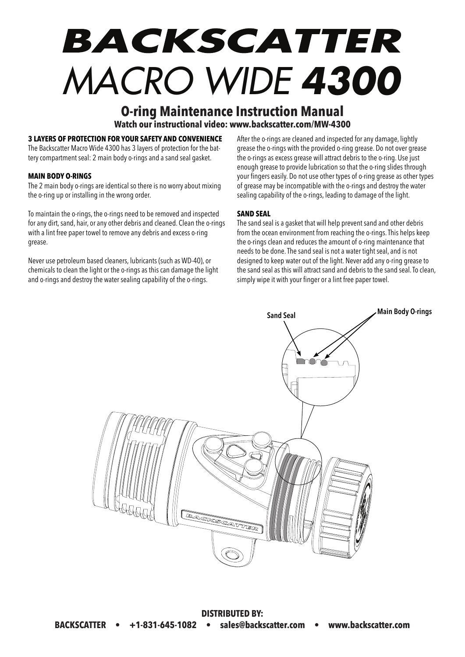# BACKSCATTER *MACRO WIDE 4300*

# **O-ring Maintenance Instruction Manual Watch our instructional video: www.backscatter.com/MW-4300**

# **3 LAYERS OF PROTECTION FOR YOUR SAFETY AND CONVENIENCE**

The Backscatter Macro Wide 4300 has 3 layers of protection for the battery compartment seal: 2 main body o-rings and a sand seal gasket.

#### **MAIN BODY O-RINGS**

The 2 main body o-rings are identical so there is no worry about mixing the o-ring up or installing in the wrong order.

To maintain the o-rings, the o-rings need to be removed and inspected for any dirt, sand, hair, or any other debris and cleaned. Clean the o-rings with a lint free paper towel to remove any debris and excess o-ring grease.

Never use petroleum based cleaners, lubricants (such as WD-40), or chemicals to clean the light or the o-rings as this can damage the light and o-rings and destroy the water sealing capability of the o-rings.

After the o-rings are cleaned and inspected for any damage, lightly grease the o-rings with the provided o-ring grease. Do not over grease the o-rings as excess grease will attract debris to the o-ring. Use just enough grease to provide lubrication so that the o-ring slides through your fingers easily. Do not use other types of o-ring grease as other types of grease may be incompatible with the o-rings and destroy the water sealing capability of the o-rings, leading to damage of the light.

#### **SAND SEAL**

The sand seal is a gasket that will help prevent sand and other debris from the ocean environment from reaching the o-rings. This helps keep the o-rings clean and reduces the amount of o-ring maintenance that needs to be done. The sand seal is not a water tight seal, and is not designed to keep water out of the light. Never add any o-ring grease to the sand seal as this will attract sand and debris to the sand seal. To clean, simply wipe it with your finger or a lint free paper towel.